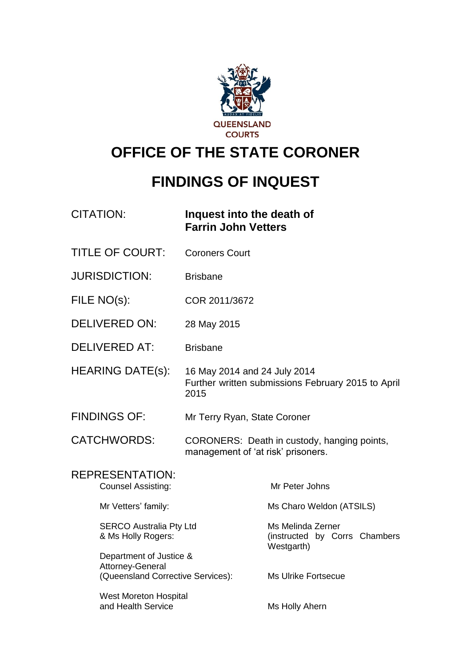

# **OFFICE OF THE STATE CORONER**

# **FINDINGS OF INQUEST**

| <b>CITATION:</b> | Inquest into the death of  |
|------------------|----------------------------|
|                  | <b>Farrin John Vetters</b> |

- TITLE OF COURT: Coroners Court
- JURISDICTION: Brisbane
- FILE NO(s): COR 2011/3672
- DELIVERED ON: 28 May 2015
- DELIVERED AT: Brisbane
- HEARING DATE(s): 16 May 2014 and 24 July 2014 Further written submissions February 2015 to April 2015
- FINDINGS OF: Mr Terry Ryan, State Coroner
- CATCHWORDS: CORONERS: Death in custody, hanging points, management of 'at risk' prisoners.

| REPRESENTATION:<br><b>Counsel Assisting:</b>         | Mr Peter Johns                                                   |
|------------------------------------------------------|------------------------------------------------------------------|
| Mr Vetters' family:                                  | Ms Charo Weldon (ATSILS)                                         |
| <b>SERCO Australia Pty Ltd</b><br>& Ms Holly Rogers: | Ms Melinda Zerner<br>(instructed by Corrs Chambers<br>Westgarth) |
| Department of Justice &<br>Attorney-General          |                                                                  |
| (Queensland Corrective Services):                    | Ms Ulrike Fortsecue                                              |
| West Moreton Hospital<br>and Health Service          | Ms Holly Ahern                                                   |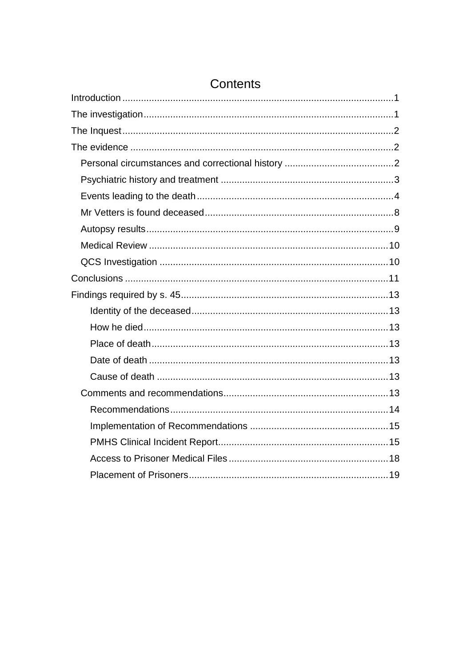# Contents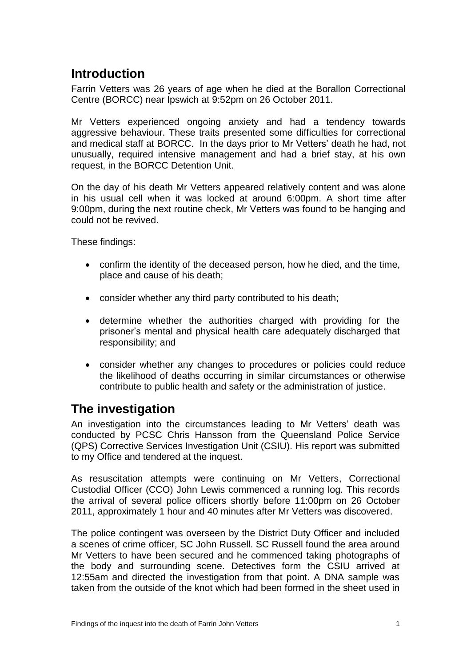## <span id="page-2-0"></span>**Introduction**

Farrin Vetters was 26 years of age when he died at the Borallon Correctional Centre (BORCC) near Ipswich at 9:52pm on 26 October 2011.

Mr Vetters experienced ongoing anxiety and had a tendency towards aggressive behaviour. These traits presented some difficulties for correctional and medical staff at BORCC. In the days prior to Mr Vetters' death he had, not unusually, required intensive management and had a brief stay, at his own request, in the BORCC Detention Unit.

On the day of his death Mr Vetters appeared relatively content and was alone in his usual cell when it was locked at around 6:00pm. A short time after 9:00pm, during the next routine check, Mr Vetters was found to be hanging and could not be revived.

These findings:

- confirm the identity of the deceased person, how he died, and the time, place and cause of his death;
- consider whether any third party contributed to his death;
- determine whether the authorities charged with providing for the prisoner's mental and physical health care adequately discharged that responsibility; and
- consider whether any changes to procedures or policies could reduce the likelihood of deaths occurring in similar circumstances or otherwise contribute to public health and safety or the administration of justice.

## <span id="page-2-1"></span>**The investigation**

An investigation into the circumstances leading to Mr Vetters' death was conducted by PCSC Chris Hansson from the Queensland Police Service (QPS) Corrective Services Investigation Unit (CSIU). His report was submitted to my Office and tendered at the inquest.

As resuscitation attempts were continuing on Mr Vetters, Correctional Custodial Officer (CCO) John Lewis commenced a running log. This records the arrival of several police officers shortly before 11:00pm on 26 October 2011, approximately 1 hour and 40 minutes after Mr Vetters was discovered.

The police contingent was overseen by the District Duty Officer and included a scenes of crime officer, SC John Russell. SC Russell found the area around Mr Vetters to have been secured and he commenced taking photographs of the body and surrounding scene. Detectives form the CSIU arrived at 12:55am and directed the investigation from that point. A DNA sample was taken from the outside of the knot which had been formed in the sheet used in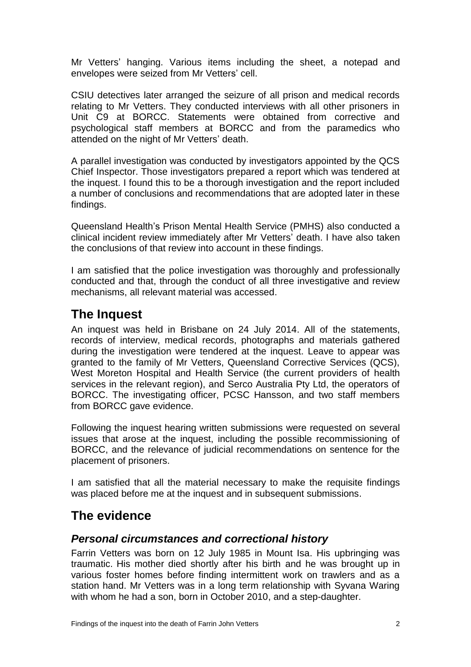Mr Vetters' hanging. Various items including the sheet, a notepad and envelopes were seized from Mr Vetters' cell.

CSIU detectives later arranged the seizure of all prison and medical records relating to Mr Vetters. They conducted interviews with all other prisoners in Unit C9 at BORCC. Statements were obtained from corrective and psychological staff members at BORCC and from the paramedics who attended on the night of Mr Vetters' death.

A parallel investigation was conducted by investigators appointed by the QCS Chief Inspector. Those investigators prepared a report which was tendered at the inquest. I found this to be a thorough investigation and the report included a number of conclusions and recommendations that are adopted later in these findings.

Queensland Health's Prison Mental Health Service (PMHS) also conducted a clinical incident review immediately after Mr Vetters' death. I have also taken the conclusions of that review into account in these findings.

I am satisfied that the police investigation was thoroughly and professionally conducted and that, through the conduct of all three investigative and review mechanisms, all relevant material was accessed.

## <span id="page-3-0"></span>**The Inquest**

An inquest was held in Brisbane on 24 July 2014. All of the statements, records of interview, medical records, photographs and materials gathered during the investigation were tendered at the inquest. Leave to appear was granted to the family of Mr Vetters, Queensland Corrective Services (QCS), West Moreton Hospital and Health Service (the current providers of health services in the relevant region), and Serco Australia Pty Ltd, the operators of BORCC. The investigating officer, PCSC Hansson, and two staff members from BORCC gave evidence.

Following the inquest hearing written submissions were requested on several issues that arose at the inquest, including the possible recommissioning of BORCC, and the relevance of judicial recommendations on sentence for the placement of prisoners.

I am satisfied that all the material necessary to make the requisite findings was placed before me at the inquest and in subsequent submissions.

## <span id="page-3-1"></span>**The evidence**

## <span id="page-3-2"></span>*Personal circumstances and correctional history*

Farrin Vetters was born on 12 July 1985 in Mount Isa. His upbringing was traumatic. His mother died shortly after his birth and he was brought up in various foster homes before finding intermittent work on trawlers and as a station hand. Mr Vetters was in a long term relationship with Syvana Waring with whom he had a son, born in October 2010, and a step-daughter.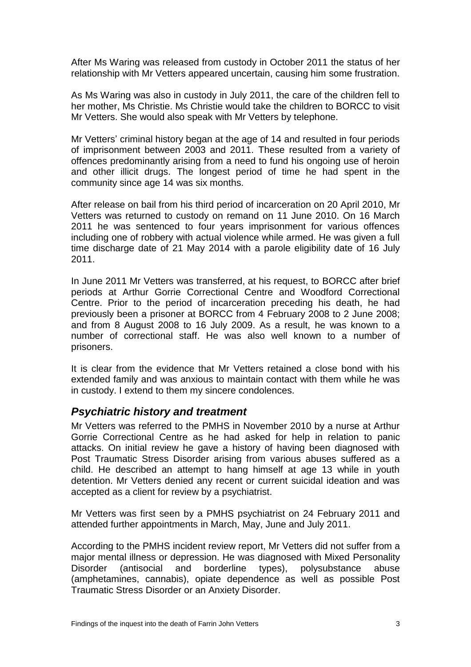After Ms Waring was released from custody in October 2011 the status of her relationship with Mr Vetters appeared uncertain, causing him some frustration.

As Ms Waring was also in custody in July 2011, the care of the children fell to her mother, Ms Christie. Ms Christie would take the children to BORCC to visit Mr Vetters. She would also speak with Mr Vetters by telephone.

Mr Vetters' criminal history began at the age of 14 and resulted in four periods of imprisonment between 2003 and 2011. These resulted from a variety of offences predominantly arising from a need to fund his ongoing use of heroin and other illicit drugs. The longest period of time he had spent in the community since age 14 was six months.

After release on bail from his third period of incarceration on 20 April 2010, Mr Vetters was returned to custody on remand on 11 June 2010. On 16 March 2011 he was sentenced to four years imprisonment for various offences including one of robbery with actual violence while armed. He was given a full time discharge date of 21 May 2014 with a parole eligibility date of 16 July 2011.

In June 2011 Mr Vetters was transferred, at his request, to BORCC after brief periods at Arthur Gorrie Correctional Centre and Woodford Correctional Centre. Prior to the period of incarceration preceding his death, he had previously been a prisoner at BORCC from 4 February 2008 to 2 June 2008; and from 8 August 2008 to 16 July 2009. As a result, he was known to a number of correctional staff. He was also well known to a number of prisoners.

It is clear from the evidence that Mr Vetters retained a close bond with his extended family and was anxious to maintain contact with them while he was in custody. I extend to them my sincere condolences.

## <span id="page-4-0"></span>*Psychiatric history and treatment*

Mr Vetters was referred to the PMHS in November 2010 by a nurse at Arthur Gorrie Correctional Centre as he had asked for help in relation to panic attacks. On initial review he gave a history of having been diagnosed with Post Traumatic Stress Disorder arising from various abuses suffered as a child. He described an attempt to hang himself at age 13 while in youth detention. Mr Vetters denied any recent or current suicidal ideation and was accepted as a client for review by a psychiatrist.

Mr Vetters was first seen by a PMHS psychiatrist on 24 February 2011 and attended further appointments in March, May, June and July 2011.

According to the PMHS incident review report, Mr Vetters did not suffer from a major mental illness or depression. He was diagnosed with Mixed Personality Disorder (antisocial and borderline types), polysubstance abuse (amphetamines, cannabis), opiate dependence as well as possible Post Traumatic Stress Disorder or an Anxiety Disorder.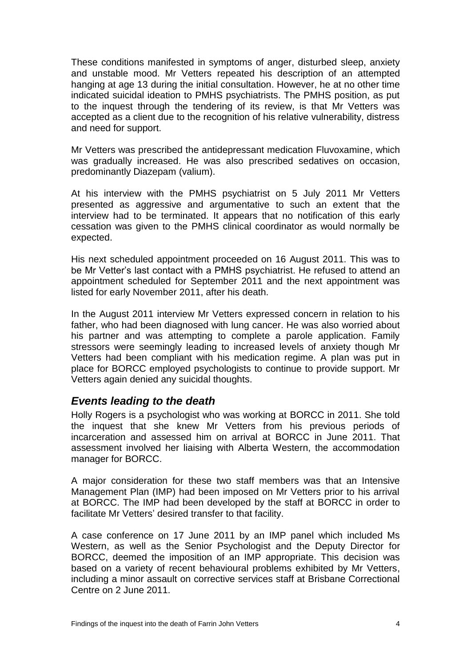These conditions manifested in symptoms of anger, disturbed sleep, anxiety and unstable mood. Mr Vetters repeated his description of an attempted hanging at age 13 during the initial consultation. However, he at no other time indicated suicidal ideation to PMHS psychiatrists. The PMHS position, as put to the inquest through the tendering of its review, is that Mr Vetters was accepted as a client due to the recognition of his relative vulnerability, distress and need for support.

Mr Vetters was prescribed the antidepressant medication Fluvoxamine, which was gradually increased. He was also prescribed sedatives on occasion, predominantly Diazepam (valium).

At his interview with the PMHS psychiatrist on 5 July 2011 Mr Vetters presented as aggressive and argumentative to such an extent that the interview had to be terminated. It appears that no notification of this early cessation was given to the PMHS clinical coordinator as would normally be expected.

His next scheduled appointment proceeded on 16 August 2011. This was to be Mr Vetter's last contact with a PMHS psychiatrist. He refused to attend an appointment scheduled for September 2011 and the next appointment was listed for early November 2011, after his death.

In the August 2011 interview Mr Vetters expressed concern in relation to his father, who had been diagnosed with lung cancer. He was also worried about his partner and was attempting to complete a parole application. Family stressors were seemingly leading to increased levels of anxiety though Mr Vetters had been compliant with his medication regime. A plan was put in place for BORCC employed psychologists to continue to provide support. Mr Vetters again denied any suicidal thoughts.

## <span id="page-5-0"></span>*Events leading to the death*

Holly Rogers is a psychologist who was working at BORCC in 2011. She told the inquest that she knew Mr Vetters from his previous periods of incarceration and assessed him on arrival at BORCC in June 2011. That assessment involved her liaising with Alberta Western, the accommodation manager for BORCC.

A major consideration for these two staff members was that an Intensive Management Plan (IMP) had been imposed on Mr Vetters prior to his arrival at BORCC. The IMP had been developed by the staff at BORCC in order to facilitate Mr Vetters' desired transfer to that facility.

A case conference on 17 June 2011 by an IMP panel which included Ms Western, as well as the Senior Psychologist and the Deputy Director for BORCC, deemed the imposition of an IMP appropriate. This decision was based on a variety of recent behavioural problems exhibited by Mr Vetters, including a minor assault on corrective services staff at Brisbane Correctional Centre on 2 June 2011.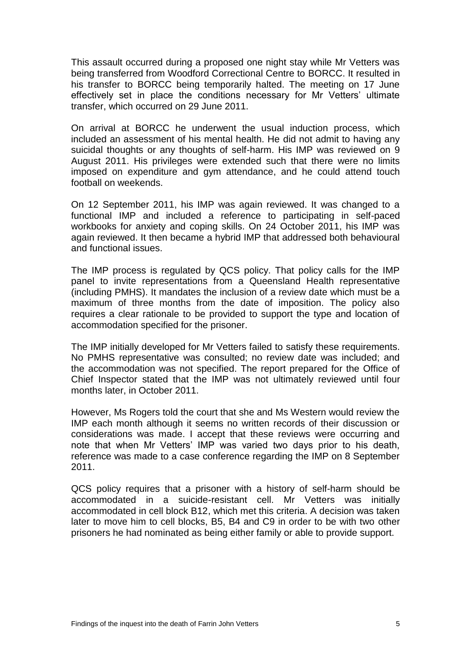This assault occurred during a proposed one night stay while Mr Vetters was being transferred from Woodford Correctional Centre to BORCC. It resulted in his transfer to BORCC being temporarily halted. The meeting on 17 June effectively set in place the conditions necessary for Mr Vetters' ultimate transfer, which occurred on 29 June 2011.

On arrival at BORCC he underwent the usual induction process, which included an assessment of his mental health. He did not admit to having any suicidal thoughts or any thoughts of self-harm. His IMP was reviewed on 9 August 2011. His privileges were extended such that there were no limits imposed on expenditure and gym attendance, and he could attend touch football on weekends.

On 12 September 2011, his IMP was again reviewed. It was changed to a functional IMP and included a reference to participating in self-paced workbooks for anxiety and coping skills. On 24 October 2011, his IMP was again reviewed. It then became a hybrid IMP that addressed both behavioural and functional issues.

The IMP process is regulated by QCS policy. That policy calls for the IMP panel to invite representations from a Queensland Health representative (including PMHS). It mandates the inclusion of a review date which must be a maximum of three months from the date of imposition. The policy also requires a clear rationale to be provided to support the type and location of accommodation specified for the prisoner.

The IMP initially developed for Mr Vetters failed to satisfy these requirements. No PMHS representative was consulted; no review date was included; and the accommodation was not specified. The report prepared for the Office of Chief Inspector stated that the IMP was not ultimately reviewed until four months later, in October 2011.

However, Ms Rogers told the court that she and Ms Western would review the IMP each month although it seems no written records of their discussion or considerations was made. I accept that these reviews were occurring and note that when Mr Vetters' IMP was varied two days prior to his death, reference was made to a case conference regarding the IMP on 8 September 2011.

QCS policy requires that a prisoner with a history of self-harm should be accommodated in a suicide-resistant cell. Mr Vetters was initially accommodated in cell block B12, which met this criteria. A decision was taken later to move him to cell blocks, B5, B4 and C9 in order to be with two other prisoners he had nominated as being either family or able to provide support.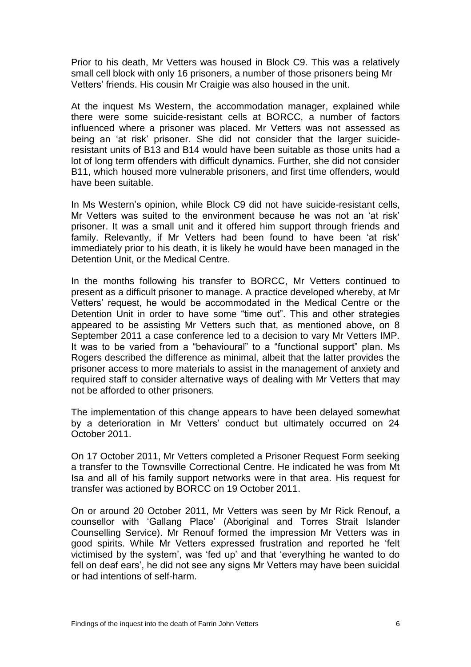Prior to his death, Mr Vetters was housed in Block C9. This was a relatively small cell block with only 16 prisoners, a number of those prisoners being Mr Vetters' friends. His cousin Mr Craigie was also housed in the unit.

At the inquest Ms Western, the accommodation manager, explained while there were some suicide-resistant cells at BORCC, a number of factors influenced where a prisoner was placed. Mr Vetters was not assessed as being an 'at risk' prisoner. She did not consider that the larger suicideresistant units of B13 and B14 would have been suitable as those units had a lot of long term offenders with difficult dynamics. Further, she did not consider B11, which housed more vulnerable prisoners, and first time offenders, would have been suitable.

In Ms Western's opinion, while Block C9 did not have suicide-resistant cells, Mr Vetters was suited to the environment because he was not an 'at risk' prisoner. It was a small unit and it offered him support through friends and family. Relevantly, if Mr Vetters had been found to have been 'at risk' immediately prior to his death, it is likely he would have been managed in the Detention Unit, or the Medical Centre.

In the months following his transfer to BORCC, Mr Vetters continued to present as a difficult prisoner to manage. A practice developed whereby, at Mr Vetters' request, he would be accommodated in the Medical Centre or the Detention Unit in order to have some "time out". This and other strategies appeared to be assisting Mr Vetters such that, as mentioned above, on 8 September 2011 a case conference led to a decision to vary Mr Vetters IMP. It was to be varied from a "behavioural" to a "functional support" plan. Ms Rogers described the difference as minimal, albeit that the latter provides the prisoner access to more materials to assist in the management of anxiety and required staff to consider alternative ways of dealing with Mr Vetters that may not be afforded to other prisoners.

The implementation of this change appears to have been delayed somewhat by a deterioration in Mr Vetters' conduct but ultimately occurred on 24 October 2011.

On 17 October 2011, Mr Vetters completed a Prisoner Request Form seeking a transfer to the Townsville Correctional Centre. He indicated he was from Mt Isa and all of his family support networks were in that area. His request for transfer was actioned by BORCC on 19 October 2011.

On or around 20 October 2011, Mr Vetters was seen by Mr Rick Renouf, a counsellor with 'Gallang Place' (Aboriginal and Torres Strait Islander Counselling Service). Mr Renouf formed the impression Mr Vetters was in good spirits. While Mr Vetters expressed frustration and reported he 'felt victimised by the system', was 'fed up' and that 'everything he wanted to do fell on deaf ears', he did not see any signs Mr Vetters may have been suicidal or had intentions of self-harm.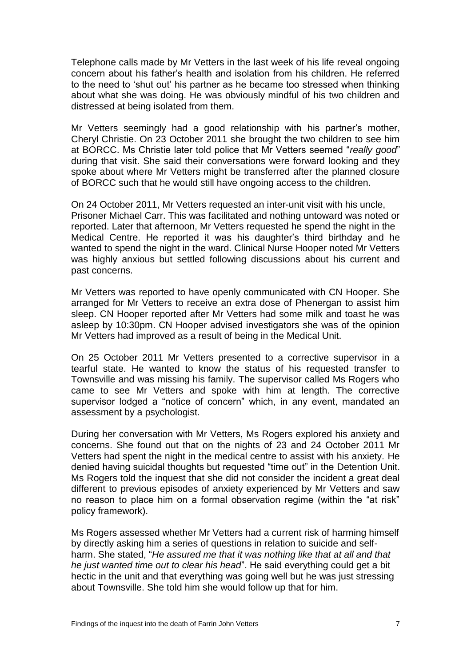Telephone calls made by Mr Vetters in the last week of his life reveal ongoing concern about his father's health and isolation from his children. He referred to the need to 'shut out' his partner as he became too stressed when thinking about what she was doing. He was obviously mindful of his two children and distressed at being isolated from them.

Mr Vetters seemingly had a good relationship with his partner's mother, Cheryl Christie. On 23 October 2011 she brought the two children to see him at BORCC. Ms Christie later told police that Mr Vetters seemed "*really good*" during that visit. She said their conversations were forward looking and they spoke about where Mr Vetters might be transferred after the planned closure of BORCC such that he would still have ongoing access to the children.

On 24 October 2011, Mr Vetters requested an inter-unit visit with his uncle, Prisoner Michael Carr. This was facilitated and nothing untoward was noted or reported. Later that afternoon, Mr Vetters requested he spend the night in the Medical Centre. He reported it was his daughter's third birthday and he wanted to spend the night in the ward. Clinical Nurse Hooper noted Mr Vetters was highly anxious but settled following discussions about his current and past concerns.

Mr Vetters was reported to have openly communicated with CN Hooper. She arranged for Mr Vetters to receive an extra dose of Phenergan to assist him sleep. CN Hooper reported after Mr Vetters had some milk and toast he was asleep by 10:30pm. CN Hooper advised investigators she was of the opinion Mr Vetters had improved as a result of being in the Medical Unit.

On 25 October 2011 Mr Vetters presented to a corrective supervisor in a tearful state. He wanted to know the status of his requested transfer to Townsville and was missing his family. The supervisor called Ms Rogers who came to see Mr Vetters and spoke with him at length. The corrective supervisor lodged a "notice of concern" which, in any event, mandated an assessment by a psychologist.

During her conversation with Mr Vetters, Ms Rogers explored his anxiety and concerns. She found out that on the nights of 23 and 24 October 2011 Mr Vetters had spent the night in the medical centre to assist with his anxiety. He denied having suicidal thoughts but requested "time out" in the Detention Unit. Ms Rogers told the inquest that she did not consider the incident a great deal different to previous episodes of anxiety experienced by Mr Vetters and saw no reason to place him on a formal observation regime (within the "at risk" policy framework).

Ms Rogers assessed whether Mr Vetters had a current risk of harming himself by directly asking him a series of questions in relation to suicide and selfharm. She stated, "*He assured me that it was nothing like that at all and that he just wanted time out to clear his head*". He said everything could get a bit hectic in the unit and that everything was going well but he was just stressing about Townsville. She told him she would follow up that for him.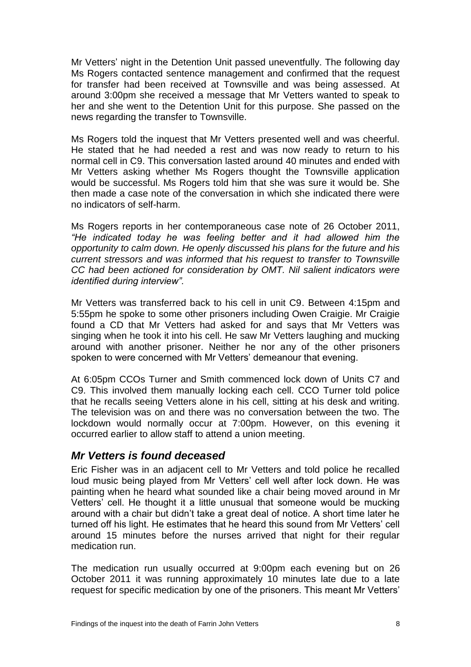Mr Vetters' night in the Detention Unit passed uneventfully. The following day Ms Rogers contacted sentence management and confirmed that the request for transfer had been received at Townsville and was being assessed. At around 3:00pm she received a message that Mr Vetters wanted to speak to her and she went to the Detention Unit for this purpose. She passed on the news regarding the transfer to Townsville.

Ms Rogers told the inquest that Mr Vetters presented well and was cheerful. He stated that he had needed a rest and was now ready to return to his normal cell in C9. This conversation lasted around 40 minutes and ended with Mr Vetters asking whether Ms Rogers thought the Townsville application would be successful. Ms Rogers told him that she was sure it would be. She then made a case note of the conversation in which she indicated there were no indicators of self-harm.

Ms Rogers reports in her contemporaneous case note of 26 October 2011, *"He indicated today he was feeling better and it had allowed him the opportunity to calm down. He openly discussed his plans for the future and his current stressors and was informed that his request to transfer to Townsville CC had been actioned for consideration by OMT. Nil salient indicators were identified during interview".*

Mr Vetters was transferred back to his cell in unit C9. Between 4:15pm and 5:55pm he spoke to some other prisoners including Owen Craigie. Mr Craigie found a CD that Mr Vetters had asked for and says that Mr Vetters was singing when he took it into his cell. He saw Mr Vetters laughing and mucking around with another prisoner. Neither he nor any of the other prisoners spoken to were concerned with Mr Vetters' demeanour that evening.

At 6:05pm CCOs Turner and Smith commenced lock down of Units C7 and C9. This involved them manually locking each cell. CCO Turner told police that he recalls seeing Vetters alone in his cell, sitting at his desk and writing. The television was on and there was no conversation between the two. The lockdown would normally occur at 7:00pm. However, on this evening it occurred earlier to allow staff to attend a union meeting.

## <span id="page-9-0"></span>*Mr Vetters is found deceased*

Eric Fisher was in an adjacent cell to Mr Vetters and told police he recalled loud music being played from Mr Vetters' cell well after lock down. He was painting when he heard what sounded like a chair being moved around in Mr Vetters' cell. He thought it a little unusual that someone would be mucking around with a chair but didn't take a great deal of notice. A short time later he turned off his light. He estimates that he heard this sound from Mr Vetters' cell around 15 minutes before the nurses arrived that night for their regular medication run.

The medication run usually occurred at 9:00pm each evening but on 26 October 2011 it was running approximately 10 minutes late due to a late request for specific medication by one of the prisoners. This meant Mr Vetters'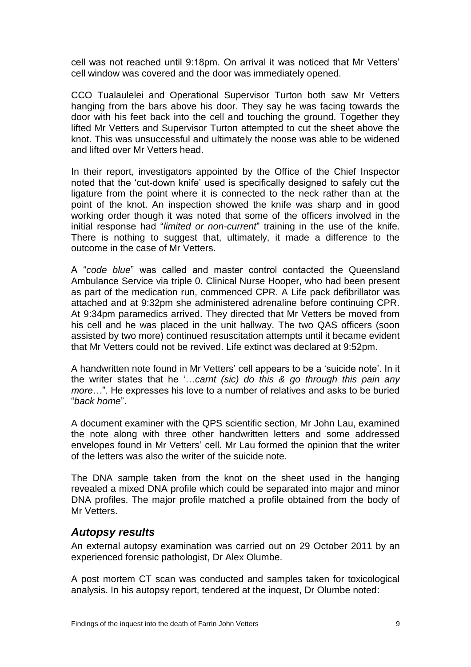cell was not reached until 9:18pm. On arrival it was noticed that Mr Vetters' cell window was covered and the door was immediately opened.

CCO Tualaulelei and Operational Supervisor Turton both saw Mr Vetters hanging from the bars above his door. They say he was facing towards the door with his feet back into the cell and touching the ground. Together they lifted Mr Vetters and Supervisor Turton attempted to cut the sheet above the knot. This was unsuccessful and ultimately the noose was able to be widened and lifted over Mr Vetters head.

In their report, investigators appointed by the Office of the Chief Inspector noted that the 'cut-down knife' used is specifically designed to safely cut the ligature from the point where it is connected to the neck rather than at the point of the knot. An inspection showed the knife was sharp and in good working order though it was noted that some of the officers involved in the initial response had "*limited or non-current*" training in the use of the knife. There is nothing to suggest that, ultimately, it made a difference to the outcome in the case of Mr Vetters.

A "*code blue*" was called and master control contacted the Queensland Ambulance Service via triple 0. Clinical Nurse Hooper, who had been present as part of the medication run, commenced CPR. A Life pack defibrillator was attached and at 9:32pm she administered adrenaline before continuing CPR. At 9:34pm paramedics arrived. They directed that Mr Vetters be moved from his cell and he was placed in the unit hallway. The two QAS officers (soon assisted by two more) continued resuscitation attempts until it became evident that Mr Vetters could not be revived. Life extinct was declared at 9:52pm.

A handwritten note found in Mr Vetters' cell appears to be a 'suicide note'. In it the writer states that he '…*carnt (sic) do this & go through this pain any more…*". He expresses his love to a number of relatives and asks to be buried "*back home*".

A document examiner with the QPS scientific section, Mr John Lau, examined the note along with three other handwritten letters and some addressed envelopes found in Mr Vetters' cell. Mr Lau formed the opinion that the writer of the letters was also the writer of the suicide note.

The DNA sample taken from the knot on the sheet used in the hanging revealed a mixed DNA profile which could be separated into major and minor DNA profiles. The major profile matched a profile obtained from the body of Mr Vetters.

## <span id="page-10-0"></span>*Autopsy results*

An external autopsy examination was carried out on 29 October 2011 by an experienced forensic pathologist, Dr Alex Olumbe.

A post mortem CT scan was conducted and samples taken for toxicological analysis. In his autopsy report, tendered at the inquest, Dr Olumbe noted: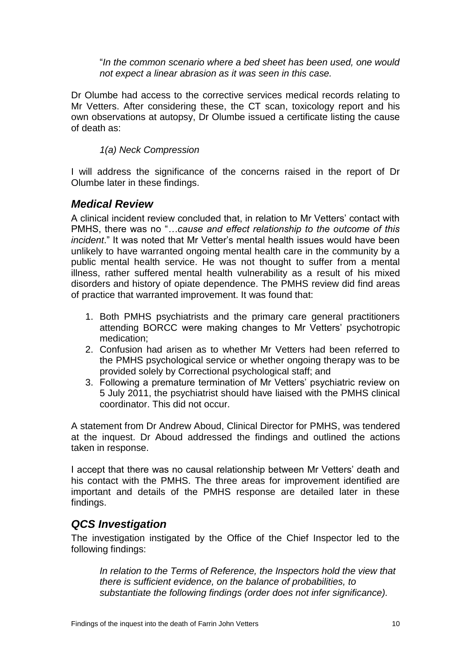"*In the common scenario where a bed sheet has been used, one would not expect a linear abrasion as it was seen in this case.* 

Dr Olumbe had access to the corrective services medical records relating to Mr Vetters. After considering these, the CT scan, toxicology report and his own observations at autopsy, Dr Olumbe issued a certificate listing the cause of death as:

*1(a) Neck Compression*

I will address the significance of the concerns raised in the report of Dr Olumbe later in these findings.

## <span id="page-11-0"></span>*Medical Review*

A clinical incident review concluded that, in relation to Mr Vetters' contact with PMHS, there was no "*…cause and effect relationship to the outcome of this incident*." It was noted that Mr Vetter's mental health issues would have been unlikely to have warranted ongoing mental health care in the community by a public mental health service. He was not thought to suffer from a mental illness, rather suffered mental health vulnerability as a result of his mixed disorders and history of opiate dependence. The PMHS review did find areas of practice that warranted improvement. It was found that:

- 1. Both PMHS psychiatrists and the primary care general practitioners attending BORCC were making changes to Mr Vetters' psychotropic medication;
- 2. Confusion had arisen as to whether Mr Vetters had been referred to the PMHS psychological service or whether ongoing therapy was to be provided solely by Correctional psychological staff; and
- 3. Following a premature termination of Mr Vetters' psychiatric review on 5 July 2011, the psychiatrist should have liaised with the PMHS clinical coordinator. This did not occur.

A statement from Dr Andrew Aboud, Clinical Director for PMHS, was tendered at the inquest. Dr Aboud addressed the findings and outlined the actions taken in response.

I accept that there was no causal relationship between Mr Vetters' death and his contact with the PMHS. The three areas for improvement identified are important and details of the PMHS response are detailed later in these findings.

## <span id="page-11-1"></span>*QCS Investigation*

The investigation instigated by the Office of the Chief Inspector led to the following findings:

In relation to the Terms of Reference, the Inspectors hold the view that *there is sufficient evidence, on the balance of probabilities, to substantiate the following findings (order does not infer significance).*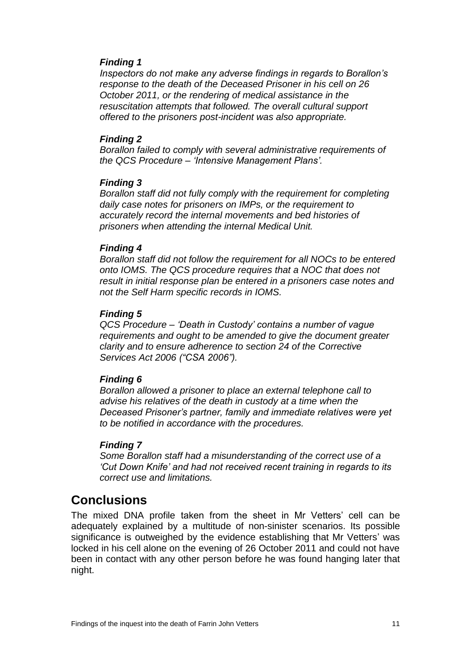#### *Finding 1*

*Inspectors do not make any adverse findings in regards to Borallon's response to the death of the Deceased Prisoner in his cell on 26 October 2011, or the rendering of medical assistance in the resuscitation attempts that followed. The overall cultural support offered to the prisoners post-incident was also appropriate.*

#### *Finding 2*

*Borallon failed to comply with several administrative requirements of the QCS Procedure – 'Intensive Management Plans'.*

#### *Finding 3*

*Borallon staff did not fully comply with the requirement for completing daily case notes for prisoners on IMPs, or the requirement to accurately record the internal movements and bed histories of prisoners when attending the internal Medical Unit.*

#### *Finding 4*

*Borallon staff did not follow the requirement for all NOCs to be entered onto IOMS. The QCS procedure requires that a NOC that does not result in initial response plan be entered in a prisoners case notes and not the Self Harm specific records in IOMS.*

#### *Finding 5*

*QCS Procedure – 'Death in Custody' contains a number of vague requirements and ought to be amended to give the document greater clarity and to ensure adherence to section 24 of the Corrective Services Act 2006 ("CSA 2006").*

#### *Finding 6*

*Borallon allowed a prisoner to place an external telephone call to advise his relatives of the death in custody at a time when the Deceased Prisoner's partner, family and immediate relatives were yet to be notified in accordance with the procedures.*

#### *Finding 7*

*Some Borallon staff had a misunderstanding of the correct use of a 'Cut Down Knife' and had not received recent training in regards to its correct use and limitations.*

## <span id="page-12-0"></span>**Conclusions**

The mixed DNA profile taken from the sheet in Mr Vetters' cell can be adequately explained by a multitude of non-sinister scenarios. Its possible significance is outweighed by the evidence establishing that Mr Vetters' was locked in his cell alone on the evening of 26 October 2011 and could not have been in contact with any other person before he was found hanging later that night.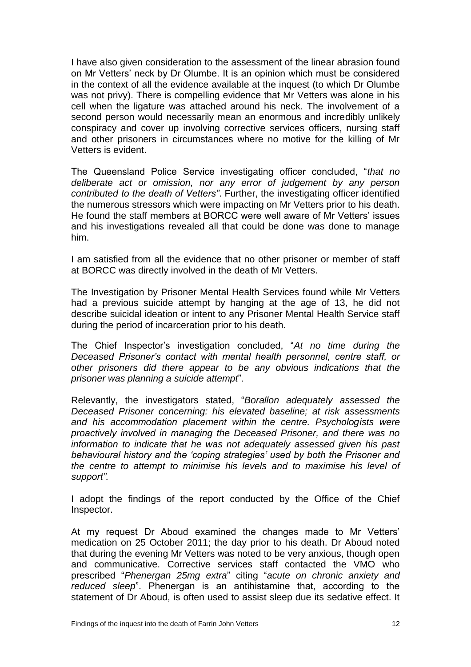I have also given consideration to the assessment of the linear abrasion found on Mr Vetters' neck by Dr Olumbe. It is an opinion which must be considered in the context of all the evidence available at the inquest (to which Dr Olumbe was not privy). There is compelling evidence that Mr Vetters was alone in his cell when the ligature was attached around his neck. The involvement of a second person would necessarily mean an enormous and incredibly unlikely conspiracy and cover up involving corrective services officers, nursing staff and other prisoners in circumstances where no motive for the killing of Mr Vetters is evident.

The Queensland Police Service investigating officer concluded, "*that no deliberate act or omission, nor any error of judgement by any person contributed to the death of Vetters"*. Further, the investigating officer identified the numerous stressors which were impacting on Mr Vetters prior to his death. He found the staff members at BORCC were well aware of Mr Vetters' issues and his investigations revealed all that could be done was done to manage him.

I am satisfied from all the evidence that no other prisoner or member of staff at BORCC was directly involved in the death of Mr Vetters.

The Investigation by Prisoner Mental Health Services found while Mr Vetters had a previous suicide attempt by hanging at the age of 13, he did not describe suicidal ideation or intent to any Prisoner Mental Health Service staff during the period of incarceration prior to his death.

The Chief Inspector's investigation concluded, "*At no time during the Deceased Prisoner's contact with mental health personnel, centre staff, or other prisoners did there appear to be any obvious indications that the prisoner was planning a suicide attempt*".

Relevantly, the investigators stated, "*Borallon adequately assessed the Deceased Prisoner concerning: his elevated baseline; at risk assessments and his accommodation placement within the centre. Psychologists were proactively involved in managing the Deceased Prisoner, and there was no information to indicate that he was not adequately assessed given his past behavioural history and the 'coping strategies' used by both the Prisoner and the centre to attempt to minimise his levels and to maximise his level of support".*

I adopt the findings of the report conducted by the Office of the Chief Inspector.

At my request Dr Aboud examined the changes made to Mr Vetters' medication on 25 October 2011; the day prior to his death. Dr Aboud noted that during the evening Mr Vetters was noted to be very anxious, though open and communicative. Corrective services staff contacted the VMO who prescribed "*Phenergan 25mg extra*" citing "*acute on chronic anxiety and reduced sleep*". Phenergan is an antihistamine that, according to the statement of Dr Aboud, is often used to assist sleep due its sedative effect. It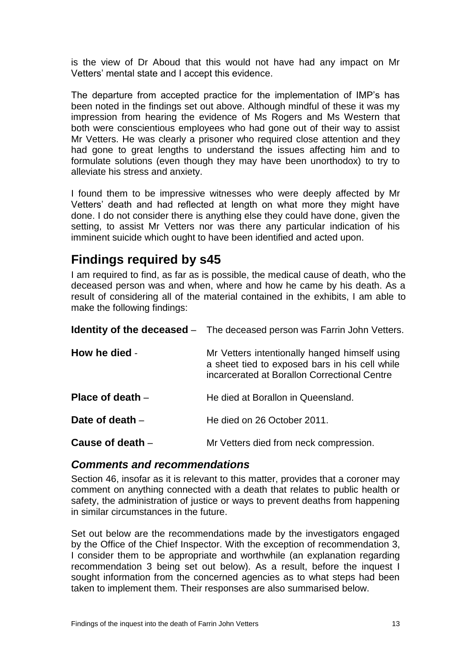is the view of Dr Aboud that this would not have had any impact on Mr Vetters' mental state and I accept this evidence.

The departure from accepted practice for the implementation of IMP's has been noted in the findings set out above. Although mindful of these it was my impression from hearing the evidence of Ms Rogers and Ms Western that both were conscientious employees who had gone out of their way to assist Mr Vetters. He was clearly a prisoner who required close attention and they had gone to great lengths to understand the issues affecting him and to formulate solutions (even though they may have been unorthodox) to try to alleviate his stress and anxiety.

I found them to be impressive witnesses who were deeply affected by Mr Vetters' death and had reflected at length on what more they might have done. I do not consider there is anything else they could have done, given the setting, to assist Mr Vetters nor was there any particular indication of his imminent suicide which ought to have been identified and acted upon.

## <span id="page-14-0"></span>**Findings required by s45**

I am required to find, as far as is possible, the medical cause of death, who the deceased person was and when, where and how he came by his death. As a result of considering all of the material contained in the exhibits, I am able to make the following findings:

<span id="page-14-2"></span><span id="page-14-1"></span>

|                    | <b>Identity of the deceased</b> – The deceased person was Farrin John Vetters.                                                                  |
|--------------------|-------------------------------------------------------------------------------------------------------------------------------------------------|
| How he died -      | Mr Vetters intentionally hanged himself using<br>a sheet tied to exposed bars in his cell while<br>incarcerated at Borallon Correctional Centre |
| Place of death $-$ | He died at Borallon in Queensland.                                                                                                              |
| Date of death $-$  | He died on 26 October 2011.                                                                                                                     |
| Cause of death -   | Mr Vetters died from neck compression.                                                                                                          |

## <span id="page-14-6"></span><span id="page-14-5"></span><span id="page-14-4"></span><span id="page-14-3"></span>*Comments and recommendations*

Section 46, insofar as it is relevant to this matter, provides that a coroner may comment on anything connected with a death that relates to public health or safety, the administration of justice or ways to prevent deaths from happening in similar circumstances in the future.

Set out below are the recommendations made by the investigators engaged by the Office of the Chief Inspector. With the exception of recommendation 3, I consider them to be appropriate and worthwhile (an explanation regarding recommendation 3 being set out below). As a result, before the inquest I sought information from the concerned agencies as to what steps had been taken to implement them. Their responses are also summarised below.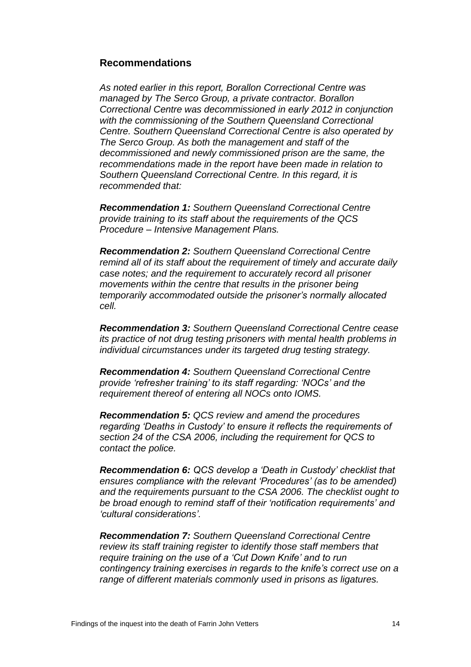### <span id="page-15-0"></span>**Recommendations**

*As noted earlier in this report, Borallon Correctional Centre was managed by The Serco Group, a private contractor. Borallon Correctional Centre was decommissioned in early 2012 in conjunction with the commissioning of the Southern Queensland Correctional Centre. Southern Queensland Correctional Centre is also operated by The Serco Group. As both the management and staff of the decommissioned and newly commissioned prison are the same, the recommendations made in the report have been made in relation to Southern Queensland Correctional Centre. In this regard, it is recommended that:*

*Recommendation 1: Southern Queensland Correctional Centre provide training to its staff about the requirements of the QCS Procedure – Intensive Management Plans.*

*Recommendation 2: Southern Queensland Correctional Centre remind all of its staff about the requirement of timely and accurate daily case notes; and the requirement to accurately record all prisoner movements within the centre that results in the prisoner being temporarily accommodated outside the prisoner's normally allocated cell.*

*Recommendation 3: Southern Queensland Correctional Centre cease its practice of not drug testing prisoners with mental health problems in individual circumstances under its targeted drug testing strategy.*

*Recommendation 4: Southern Queensland Correctional Centre provide 'refresher training' to its staff regarding: 'NOCs' and the requirement thereof of entering all NOCs onto IOMS.*

*Recommendation 5: QCS review and amend the procedures regarding 'Deaths in Custody' to ensure it reflects the requirements of section 24 of the CSA 2006, including the requirement for QCS to contact the police.*

*Recommendation 6: QCS develop a 'Death in Custody' checklist that ensures compliance with the relevant 'Procedures' (as to be amended) and the requirements pursuant to the CSA 2006. The checklist ought to be broad enough to remind staff of their 'notification requirements' and 'cultural considerations'.*

*Recommendation 7: Southern Queensland Correctional Centre review its staff training register to identify those staff members that require training on the use of a 'Cut Down Knife' and to run contingency training exercises in regards to the knife's correct use on a range of different materials commonly used in prisons as ligatures.*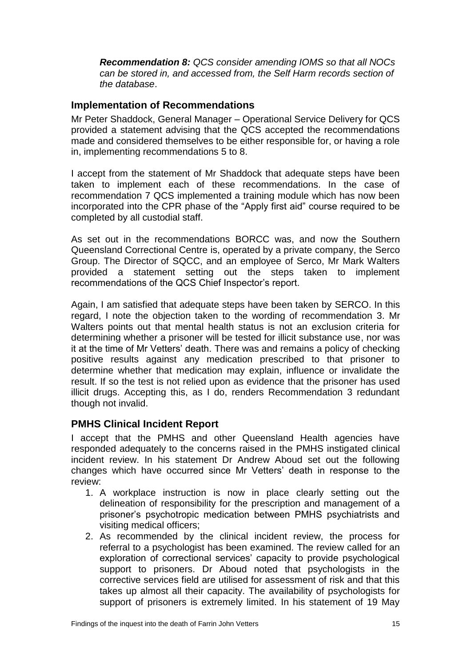*Recommendation 8: QCS consider amending IOMS so that all NOCs can be stored in, and accessed from, the Self Harm records section of the database*.

## <span id="page-16-0"></span>**Implementation of Recommendations**

Mr Peter Shaddock, General Manager – Operational Service Delivery for QCS provided a statement advising that the QCS accepted the recommendations made and considered themselves to be either responsible for, or having a role in, implementing recommendations 5 to 8.

I accept from the statement of Mr Shaddock that adequate steps have been taken to implement each of these recommendations. In the case of recommendation 7 QCS implemented a training module which has now been incorporated into the CPR phase of the "Apply first aid" course required to be completed by all custodial staff.

As set out in the recommendations BORCC was, and now the Southern Queensland Correctional Centre is, operated by a private company, the Serco Group. The Director of SQCC, and an employee of Serco, Mr Mark Walters provided a statement setting out the steps taken to implement recommendations of the QCS Chief Inspector's report.

Again, I am satisfied that adequate steps have been taken by SERCO. In this regard, I note the objection taken to the wording of recommendation 3. Mr Walters points out that mental health status is not an exclusion criteria for determining whether a prisoner will be tested for illicit substance use, nor was it at the time of Mr Vetters' death. There was and remains a policy of checking positive results against any medication prescribed to that prisoner to determine whether that medication may explain, influence or invalidate the result. If so the test is not relied upon as evidence that the prisoner has used illicit drugs. Accepting this, as I do, renders Recommendation 3 redundant though not invalid.

## <span id="page-16-1"></span>**PMHS Clinical Incident Report**

I accept that the PMHS and other Queensland Health agencies have responded adequately to the concerns raised in the PMHS instigated clinical incident review. In his statement Dr Andrew Aboud set out the following changes which have occurred since Mr Vetters' death in response to the review:

- 1. A workplace instruction is now in place clearly setting out the delineation of responsibility for the prescription and management of a prisoner's psychotropic medication between PMHS psychiatrists and visiting medical officers;
- 2. As recommended by the clinical incident review, the process for referral to a psychologist has been examined. The review called for an exploration of correctional services' capacity to provide psychological support to prisoners. Dr Aboud noted that psychologists in the corrective services field are utilised for assessment of risk and that this takes up almost all their capacity. The availability of psychologists for support of prisoners is extremely limited. In his statement of 19 May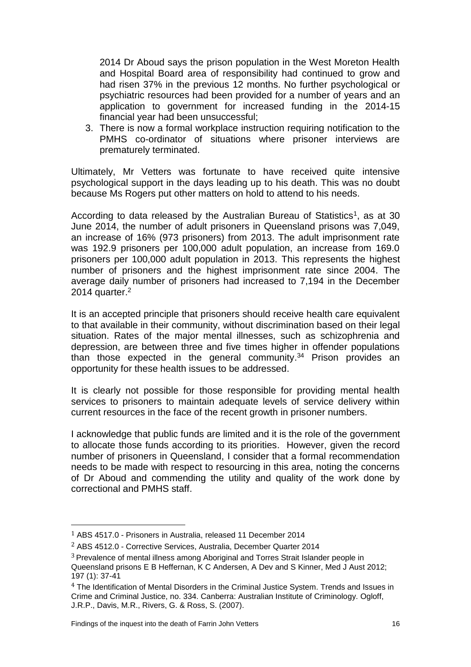2014 Dr Aboud says the prison population in the West Moreton Health and Hospital Board area of responsibility had continued to grow and had risen 37% in the previous 12 months. No further psychological or psychiatric resources had been provided for a number of years and an application to government for increased funding in the 2014-15 financial year had been unsuccessful;

3. There is now a formal workplace instruction requiring notification to the PMHS co-ordinator of situations where prisoner interviews are prematurely terminated.

Ultimately, Mr Vetters was fortunate to have received quite intensive psychological support in the days leading up to his death. This was no doubt because Ms Rogers put other matters on hold to attend to his needs.

According to data released by the Australian Bureau of Statistics<sup>1</sup>, as at 30 June 2014, the number of adult prisoners in Queensland prisons was 7,049, an increase of 16% (973 prisoners) from 2013. The adult imprisonment rate was 192.9 prisoners per 100,000 adult population, an increase from 169.0 prisoners per 100,000 adult population in 2013. This represents the highest number of prisoners and the highest imprisonment rate since 2004. The average daily number of prisoners had increased to 7,194 in the December 2014 quarter. $2$ 

It is an accepted principle that prisoners should receive health care equivalent to that available in their community, without discrimination based on their legal situation. Rates of the major mental illnesses, such as schizophrenia and depression, are between three and five times higher in offender populations than those expected in the general community.<sup>34</sup> Prison provides an opportunity for these health issues to be addressed.

It is clearly not possible for those responsible for providing mental health services to prisoners to maintain adequate levels of service delivery within current resources in the face of the recent growth in prisoner numbers.

I acknowledge that public funds are limited and it is the role of the government to allocate those funds according to its priorities. However, given the record number of prisoners in Queensland, I consider that a formal recommendation needs to be made with respect to resourcing in this area, noting the concerns of Dr Aboud and commending the utility and quality of the work done by correctional and PMHS staff.

 $\overline{\phantom{a}}$ 

<sup>1</sup> ABS 4517.0 - Prisoners in Australia, released 11 December 2014

<sup>2</sup> ABS 4512.0 - Corrective Services, Australia, December Quarter 2014

<sup>3</sup> Prevalence of mental illness among Aboriginal and Torres Strait Islander people in

Queensland prisons E B Heffernan, K C Andersen, A Dev and S Kinner, Med J Aust 2012; 197 (1): 37-41

<sup>4</sup> The Identification of Mental Disorders in the Criminal Justice System. Trends and Issues in Crime and Criminal Justice, no. 334. Canberra: Australian Institute of Criminology. Ogloff, J.R.P., Davis, M.R., Rivers, G. & Ross, S. (2007).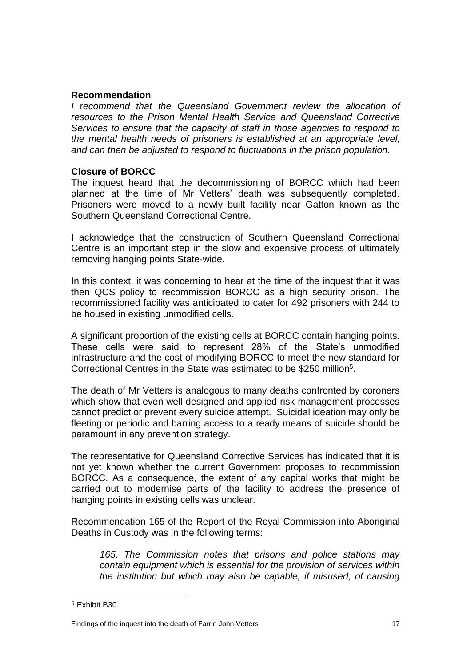### **Recommendation**

*I* r*ecommend that the Queensland Government review the allocation of resources to the Prison Mental Health Service and Queensland Corrective Services to ensure that the capacity of staff in those agencies to respond to the mental health needs of prisoners is established at an appropriate level, and can then be adjusted to respond to fluctuations in the prison population.*

### **Closure of BORCC**

The inquest heard that the decommissioning of BORCC which had been planned at the time of Mr Vetters' death was subsequently completed. Prisoners were moved to a newly built facility near Gatton known as the Southern Queensland Correctional Centre.

I acknowledge that the construction of Southern Queensland Correctional Centre is an important step in the slow and expensive process of ultimately removing hanging points State-wide.

In this context, it was concerning to hear at the time of the inquest that it was then QCS policy to recommission BORCC as a high security prison. The recommissioned facility was anticipated to cater for 492 prisoners with 244 to be housed in existing unmodified cells.

A significant proportion of the existing cells at BORCC contain hanging points. These cells were said to represent 28% of the State's unmodified infrastructure and the cost of modifying BORCC to meet the new standard for Correctional Centres in the State was estimated to be \$250 million<sup>5</sup> .

The death of Mr Vetters is analogous to many deaths confronted by coroners which show that even well designed and applied risk management processes cannot predict or prevent every suicide attempt. Suicidal ideation may only be fleeting or periodic and barring access to a ready means of suicide should be paramount in any prevention strategy.

The representative for Queensland Corrective Services has indicated that it is not yet known whether the current Government proposes to recommission BORCC. As a consequence, the extent of any capital works that might be carried out to modernise parts of the facility to address the presence of hanging points in existing cells was unclear.

Recommendation 165 of the Report of the Royal Commission into Aboriginal Deaths in Custody was in the following terms:

*165. The Commission notes that prisons and police stations may contain equipment which is essential for the provision of services within the institution but which may also be capable, if misused, of causing* 

 $\overline{\phantom{a}}$ 

<sup>5</sup> Exhibit B30

Findings of the inquest into the death of Farrin John Vetters 17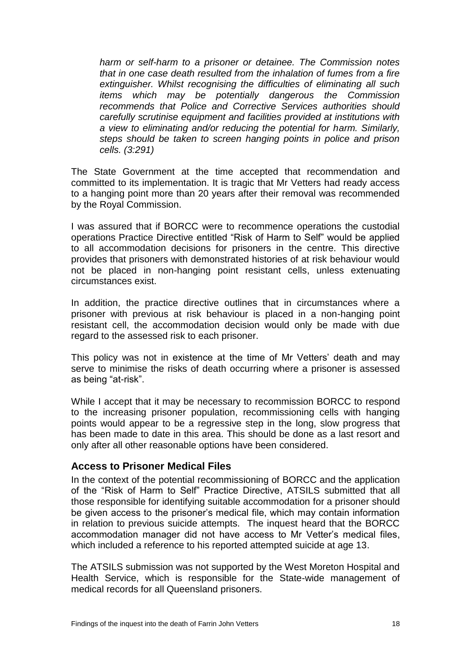*harm or self-harm to a prisoner or detainee. The Commission notes that in one case death resulted from the inhalation of fumes from a fire extinguisher. Whilst recognising the difficulties of eliminating all such items which may be potentially dangerous the Commission recommends that Police and Corrective Services authorities should carefully scrutinise equipment and facilities provided at institutions with a view to eliminating and/or reducing the potential for harm. Similarly, steps should be taken to screen hanging points in police and prison cells. (3:291)*

The State Government at the time accepted that recommendation and committed to its implementation. It is tragic that Mr Vetters had ready access to a hanging point more than 20 years after their removal was recommended by the Royal Commission.

I was assured that if BORCC were to recommence operations the custodial operations Practice Directive entitled "Risk of Harm to Self" would be applied to all accommodation decisions for prisoners in the centre. This directive provides that prisoners with demonstrated histories of at risk behaviour would not be placed in non-hanging point resistant cells, unless extenuating circumstances exist.

In addition, the practice directive outlines that in circumstances where a prisoner with previous at risk behaviour is placed in a non-hanging point resistant cell, the accommodation decision would only be made with due regard to the assessed risk to each prisoner.

This policy was not in existence at the time of Mr Vetters' death and may serve to minimise the risks of death occurring where a prisoner is assessed as being "at-risk".

While I accept that it may be necessary to recommission BORCC to respond to the increasing prisoner population, recommissioning cells with hanging points would appear to be a regressive step in the long, slow progress that has been made to date in this area. This should be done as a last resort and only after all other reasonable options have been considered.

### <span id="page-19-0"></span>**Access to Prisoner Medical Files**

In the context of the potential recommissioning of BORCC and the application of the "Risk of Harm to Self" Practice Directive, ATSILS submitted that all those responsible for identifying suitable accommodation for a prisoner should be given access to the prisoner's medical file, which may contain information in relation to previous suicide attempts. The inquest heard that the BORCC accommodation manager did not have access to Mr Vetter's medical files, which included a reference to his reported attempted suicide at age 13.

The ATSILS submission was not supported by the West Moreton Hospital and Health Service, which is responsible for the State-wide management of medical records for all Queensland prisoners.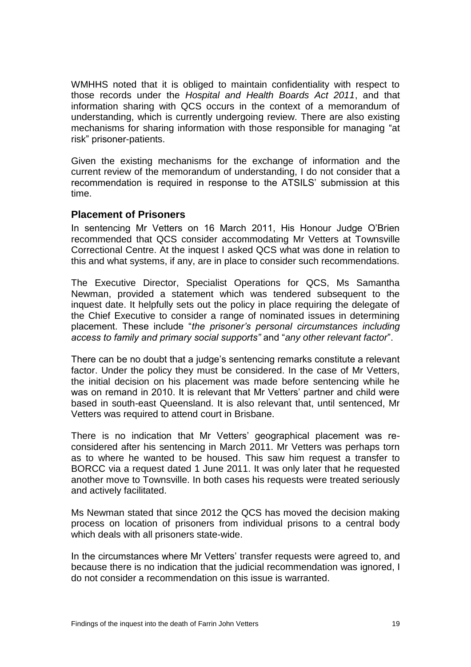WMHHS noted that it is obliged to maintain confidentiality with respect to those records under the *Hospital and Health Boards Act 2011*, and that information sharing with QCS occurs in the context of a memorandum of understanding, which is currently undergoing review. There are also existing mechanisms for sharing information with those responsible for managing "at risk" prisoner-patients.

Given the existing mechanisms for the exchange of information and the current review of the memorandum of understanding, I do not consider that a recommendation is required in response to the ATSILS' submission at this time.

### <span id="page-20-0"></span>**Placement of Prisoners**

In sentencing Mr Vetters on 16 March 2011, His Honour Judge O'Brien recommended that QCS consider accommodating Mr Vetters at Townsville Correctional Centre. At the inquest I asked QCS what was done in relation to this and what systems, if any, are in place to consider such recommendations.

The Executive Director, Specialist Operations for QCS, Ms Samantha Newman, provided a statement which was tendered subsequent to the inquest date. It helpfully sets out the policy in place requiring the delegate of the Chief Executive to consider a range of nominated issues in determining placement. These include "*the prisoner's personal circumstances including access to family and primary social supports"* and "*any other relevant factor*".

There can be no doubt that a judge's sentencing remarks constitute a relevant factor. Under the policy they must be considered. In the case of Mr Vetters, the initial decision on his placement was made before sentencing while he was on remand in 2010. It is relevant that Mr Vetters' partner and child were based in south-east Queensland. It is also relevant that, until sentenced, Mr Vetters was required to attend court in Brisbane.

There is no indication that Mr Vetters' geographical placement was reconsidered after his sentencing in March 2011. Mr Vetters was perhaps torn as to where he wanted to be housed. This saw him request a transfer to BORCC via a request dated 1 June 2011. It was only later that he requested another move to Townsville. In both cases his requests were treated seriously and actively facilitated.

Ms Newman stated that since 2012 the QCS has moved the decision making process on location of prisoners from individual prisons to a central body which deals with all prisoners state-wide.

In the circumstances where Mr Vetters' transfer requests were agreed to, and because there is no indication that the judicial recommendation was ignored, I do not consider a recommendation on this issue is warranted.